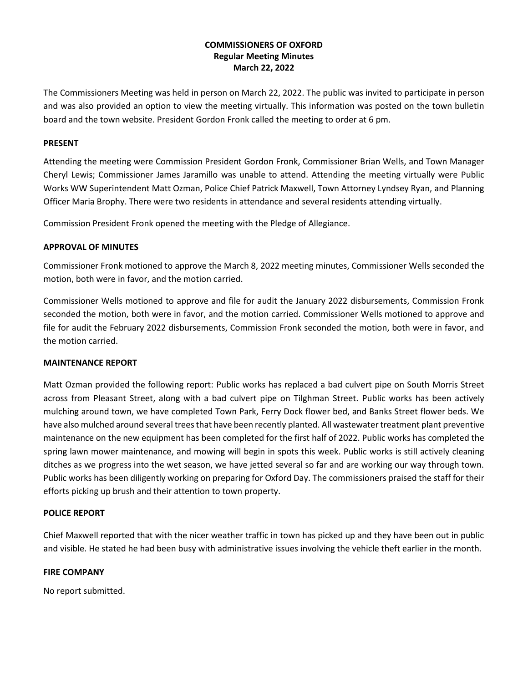# **COMMISSIONERS OF OXFORD Regular Meeting Minutes March 22, 2022**

The Commissioners Meeting was held in person on March 22, 2022. The public was invited to participate in person and was also provided an option to view the meeting virtually. This information was posted on the town bulletin board and the town website. President Gordon Fronk called the meeting to order at 6 pm.

## **PRESENT**

Attending the meeting were Commission President Gordon Fronk, Commissioner Brian Wells, and Town Manager Cheryl Lewis; Commissioner James Jaramillo was unable to attend. Attending the meeting virtually were Public Works WW Superintendent Matt Ozman, Police Chief Patrick Maxwell, Town Attorney Lyndsey Ryan, and Planning Officer Maria Brophy. There were two residents in attendance and several residents attending virtually.

Commission President Fronk opened the meeting with the Pledge of Allegiance.

#### **APPROVAL OF MINUTES**

Commissioner Fronk motioned to approve the March 8, 2022 meeting minutes, Commissioner Wells seconded the motion, both were in favor, and the motion carried.

Commissioner Wells motioned to approve and file for audit the January 2022 disbursements, Commission Fronk seconded the motion, both were in favor, and the motion carried. Commissioner Wells motioned to approve and file for audit the February 2022 disbursements, Commission Fronk seconded the motion, both were in favor, and the motion carried.

## **MAINTENANCE REPORT**

Matt Ozman provided the following report: Public works has replaced a bad culvert pipe on South Morris Street across from Pleasant Street, along with a bad culvert pipe on Tilghman Street. Public works has been actively mulching around town, we have completed Town Park, Ferry Dock flower bed, and Banks Street flower beds. We have also mulched around several trees that have been recently planted. All wastewater treatment plant preventive maintenance on the new equipment has been completed for the first half of 2022. Public works has completed the spring lawn mower maintenance, and mowing will begin in spots this week. Public works is still actively cleaning ditches as we progress into the wet season, we have jetted several so far and are working our way through town. Public works has been diligently working on preparing for Oxford Day. The commissioners praised the staff for their efforts picking up brush and their attention to town property.

#### **POLICE REPORT**

Chief Maxwell reported that with the nicer weather traffic in town has picked up and they have been out in public and visible. He stated he had been busy with administrative issues involving the vehicle theft earlier in the month.

#### **FIRE COMPANY**

No report submitted.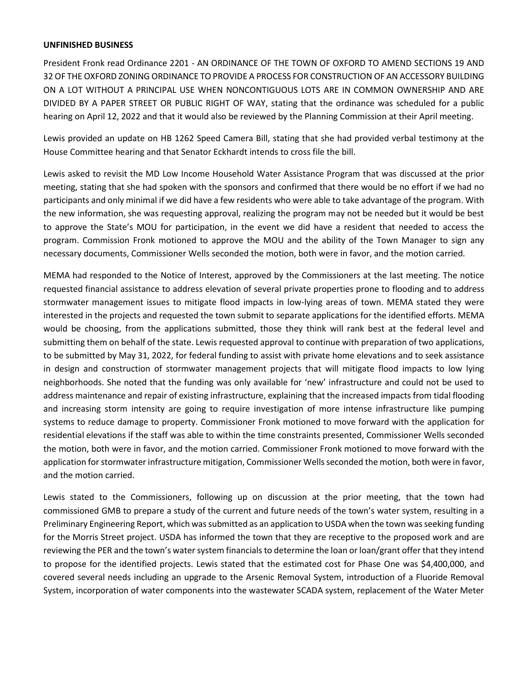#### **UNFINISHED BUSINESS**

President Fronk read Ordinance 2201 - AN ORDINANCE OF THE TOWN OF OXFORD TO AMEND SECTIONS 19 AND 32 OF THE OXFORD ZONING ORDINANCE TO PROVIDE A PROCESS FOR CONSTRUCTION OF AN ACCESSORY BUILDING ON A LOT WITHOUT A PRINCIPAL USE WHEN NONCONTIGUOUS LOTS ARE IN COMMON OWNERSHIP AND ARE DIVIDED BY A PAPER STREET OR PUBLIC RIGHT OF WAY, stating that the ordinance was scheduled for a public hearing on April 12, 2022 and that it would also be reviewed by the Planning Commission at their April meeting.

Lewis provided an update on HB 1262 Speed Camera Bill, stating that she had provided verbal testimony at the House Committee hearing and that Senator Eckhardt intends to cross file the bill.

Lewis asked to revisit the MD Low Income Household Water Assistance Program that was discussed at the prior meeting, stating that she had spoken with the sponsors and confirmed that there would be no effort if we had no participants and only minimal if we did have a few residents who were able to take advantage of the program. With the new information, she was requesting approval, realizing the program may not be needed but it would be best to approve the State's MOU for participation, in the event we did have a resident that needed to access the program. Commission Fronk motioned to approve the MOU and the ability of the Town Manager to sign any necessary documents, Commissioner Wells seconded the motion, both were in favor, and the motion carried.

MEMA had responded to the Notice of Interest, approved by the Commissioners at the last meeting. The notice requested financial assistance to address elevation of several private properties prone to flooding and to address stormwater management issues to mitigate flood impacts in low-lying areas of town. MEMA stated they were interested in the projects and requested the town submit to separate applications for the identified efforts. MEMA would be choosing, from the applications submitted, those they think will rank best at the federal level and submitting them on behalf of the state. Lewis requested approval to continue with preparation of two applications, to be submitted by May 31, 2022, for federal funding to assist with private home elevations and to seek assistance in design and construction of stormwater management projects that will mitigate flood impacts to low lying neighborhoods. She noted that the funding was only available for 'new' infrastructure and could not be used to address maintenance and repair of existing infrastructure, explaining that the increased impacts from tidal flooding and increasing storm intensity are going to require investigation of more intense infrastructure like pumping systems to reduce damage to property. Commissioner Fronk motioned to move forward with the application for residential elevations if the staff was able to within the time constraints presented, Commissioner Wells seconded the motion, both were in favor, and the motion carried. Commissioner Fronk motioned to move forward with the application for stormwater infrastructure mitigation, Commissioner Wells seconded the motion, both were in favor, and the motion carried.

Lewis stated to the Commissioners, following up on discussion at the prior meeting, that the town had commissioned GMB to prepare a study of the current and future needs of the town's water system, resulting in a Preliminary Engineering Report, which was submitted as an application to USDA when the town was seeking funding for the Morris Street project. USDA has informed the town that they are receptive to the proposed work and are reviewing the PER and the town's water system financials to determine the loan or loan/grant offer that they intend to propose for the identified projects. Lewis stated that the estimated cost for Phase One was \$4,400,000, and covered several needs including an upgrade to the Arsenic Removal System, introduction of a Fluoride Removal System, incorporation of water components into the wastewater SCADA system, replacement of the Water Meter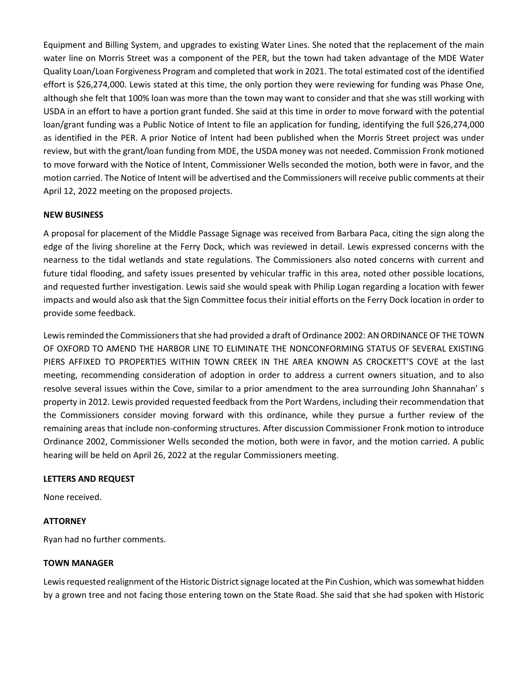Equipment and Billing System, and upgrades to existing Water Lines. She noted that the replacement of the main water line on Morris Street was a component of the PER, but the town had taken advantage of the MDE Water Quality Loan/Loan Forgiveness Program and completed that work in 2021. The total estimated cost of the identified effort is \$26,274,000. Lewis stated at this time, the only portion they were reviewing for funding was Phase One, although she felt that 100% loan was more than the town may want to consider and that she was still working with USDA in an effort to have a portion grant funded. She said at this time in order to move forward with the potential loan/grant funding was a Public Notice of Intent to file an application for funding, identifying the full \$26,274,000 as identified in the PER. A prior Notice of Intent had been published when the Morris Street project was under review, but with the grant/loan funding from MDE, the USDA money was not needed. Commission Fronk motioned to move forward with the Notice of Intent, Commissioner Wells seconded the motion, both were in favor, and the motion carried. The Notice of Intent will be advertised and the Commissioners will receive public comments at their April 12, 2022 meeting on the proposed projects.

# **NEW BUSINESS**

A proposal for placement of the Middle Passage Signage was received from Barbara Paca, citing the sign along the edge of the living shoreline at the Ferry Dock, which was reviewed in detail. Lewis expressed concerns with the nearness to the tidal wetlands and state regulations. The Commissioners also noted concerns with current and future tidal flooding, and safety issues presented by vehicular traffic in this area, noted other possible locations, and requested further investigation. Lewis said she would speak with Philip Logan regarding a location with fewer impacts and would also ask that the Sign Committee focus their initial efforts on the Ferry Dock location in order to provide some feedback.

Lewis reminded the Commissioners that she had provided a draft of Ordinance 2002: AN ORDINANCE OF THE TOWN OF OXFORD TO AMEND THE HARBOR LINE TO ELIMINATE THE NONCONFORMING STATUS OF SEVERAL EXISTING PIERS AFFIXED TO PROPERTIES WITHIN TOWN CREEK IN THE AREA KNOWN AS CROCKETT'S COVE at the last meeting, recommending consideration of adoption in order to address a current owners situation, and to also resolve several issues within the Cove, similar to a prior amendment to the area surrounding John Shannahan' s property in 2012. Lewis provided requested feedback from the Port Wardens, including their recommendation that the Commissioners consider moving forward with this ordinance, while they pursue a further review of the remaining areas that include non-conforming structures. After discussion Commissioner Fronk motion to introduce Ordinance 2002, Commissioner Wells seconded the motion, both were in favor, and the motion carried. A public hearing will be held on April 26, 2022 at the regular Commissioners meeting.

## **LETTERS AND REQUEST**

None received.

## **ATTORNEY**

Ryan had no further comments.

## **TOWN MANAGER**

Lewis requested realignment of the Historic District signage located at the Pin Cushion, which was somewhat hidden by a grown tree and not facing those entering town on the State Road. She said that she had spoken with Historic